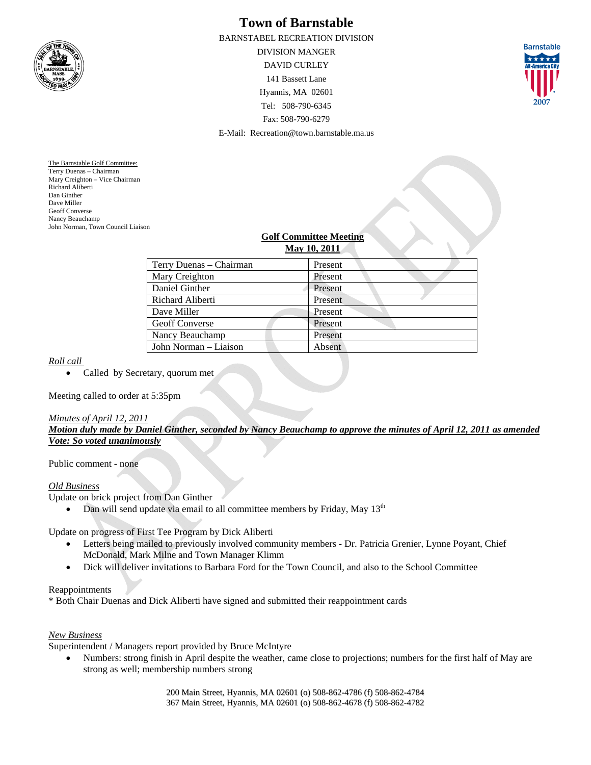

# **Town of Barnstable**

BARNSTABEL RECREATION DIVISION DIVISION MANGER DAVID CURLEY 141 Bassett Lane Hyannis, MA 02601 Tel: 508-790-6345 Fax: 508-790-6279 E-Mail: Recreation@town.barnstable.ma.us



The Barnstable Golf Committee: Terry Duenas – Chairman Mary Creighton – Vice Chairman Richard Aliberti Dan Ginther Dave Miller Geoff Converse Nancy Beauchamp John Norman, Town Council Liaison

## **Golf Committee Meeting May 10, 2011**

| Terry Duenas – Chairman | Present |
|-------------------------|---------|
| Mary Creighton          | Present |
| Daniel Ginther          | Present |
| Richard Aliberti        | Present |
| Dave Miller             | Present |
| <b>Geoff Converse</b>   | Present |
| Nancy Beauchamp         | Present |
| John Norman – Liaison   | Absent  |
|                         |         |

### *Roll call*

• Called by Secretary, quorum met

Meeting called to order at 5:35pm

#### *Minutes of April 12, 2011*

*Motion duly made by Daniel Ginther, seconded by Nancy Beauchamp to approve the minutes of April 12, 2011 as amended Vote: So voted unanimously*

Public comment - none

### *Old Business*

Update on brick project from Dan Ginther

• Dan will send update via email to all committee members by Friday, May  $13<sup>th</sup>$ 

Update on progress of First Tee Program by Dick Aliberti

- Letters being mailed to previously involved community members Dr. Patricia Grenier, Lynne Poyant, Chief McDonald, Mark Milne and Town Manager Klimm
- Dick will deliver invitations to Barbara Ford for the Town Council, and also to the School Committee

### Reappointments

\* Both Chair Duenas and Dick Aliberti have signed and submitted their reappointment cards

### *New Business*

Superintendent / Managers report provided by Bruce McIntyre

 Numbers: strong finish in April despite the weather, came close to projections; numbers for the first half of May are strong as well; membership numbers strong

> 200 Main Street, Hyannis, MA 02601 (o) 508-862-4786 (f) 508-862-4784 367 Main Street, Hyannis, MA 02601 (o) 508-862-4678 (f) 508-862-4782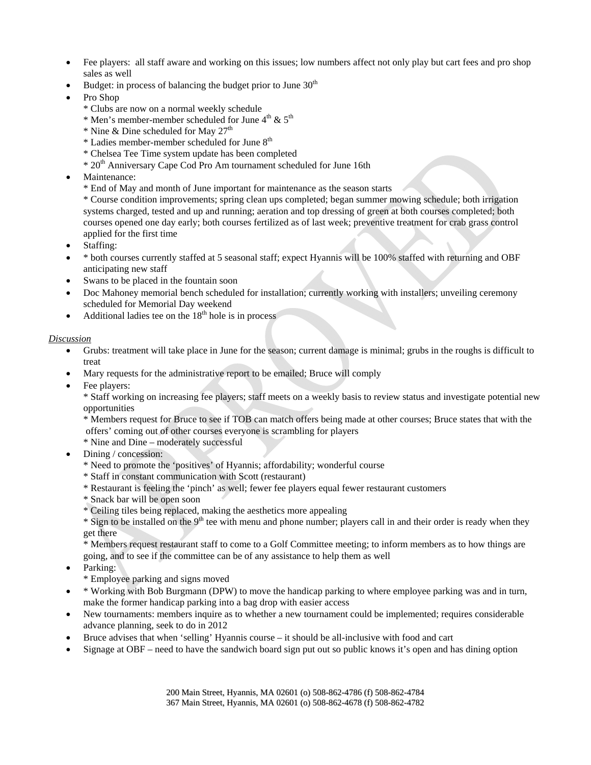- Fee players: all staff aware and working on this issues; low numbers affect not only play but cart fees and pro shop sales as well
- Budget: in process of balancing the budget prior to June  $30<sup>th</sup>$
- Pro Shop
	- \* Clubs are now on a normal weekly schedule
	- $*$  Men's member-member scheduled for June  $4<sup>th</sup>$  &  $5<sup>th</sup>$
	- \* Nine & Dine scheduled for May  $27<sup>th</sup>$
	- \* Ladies member-member scheduled for June 8th
	- \* Chelsea Tee Time system update has been completed
	- \* 20th Anniversary Cape Cod Pro Am tournament scheduled for June 16th
- Maintenance:
	- \* End of May and month of June important for maintenance as the season starts

\* Course condition improvements; spring clean ups completed; began summer mowing schedule; both irrigation systems charged, tested and up and running; aeration and top dressing of green at both courses completed; both courses opened one day early; both courses fertilized as of last week; preventive treatment for crab grass control applied for the first time

- Staffing:
- \* both courses currently staffed at 5 seasonal staff; expect Hyannis will be 100% staffed with returning and OBF anticipating new staff
- Swans to be placed in the fountain soon
- Doc Mahoney memorial bench scheduled for installation; currently working with installers; unveiling ceremony scheduled for Memorial Day weekend
- $\bullet$  Additional ladies tee on the 18<sup>th</sup> hole is in process

### *Discussion*

- Grubs: treatment will take place in June for the season; current damage is minimal; grubs in the roughs is difficult to treat
- Mary requests for the administrative report to be emailed; Bruce will comply
- Fee players:

\* Staff working on increasing fee players; staff meets on a weekly basis to review status and investigate potential new opportunities

\* Members request for Bruce to see if TOB can match offers being made at other courses; Bruce states that with the offers' coming out of other courses everyone is scrambling for players

- \* Nine and Dine moderately successful
- Dining / concession:
	- \* Need to promote the 'positives' of Hyannis; affordability; wonderful course
	- \* Staff in constant communication with Scott (restaurant)
	- \* Restaurant is feeling the 'pinch' as well; fewer fee players equal fewer restaurant customers
	- \* Snack bar will be open soon
	- \* Ceiling tiles being replaced, making the aesthetics more appealing

 $*$  Sign to be installed on the 9<sup>th</sup> tee with menu and phone number; players call in and their order is ready when they get there

\* Members request restaurant staff to come to a Golf Committee meeting; to inform members as to how things are going, and to see if the committee can be of any assistance to help them as well

- Parking:
	- \* Employee parking and signs moved
- \* Working with Bob Burgmann (DPW) to move the handicap parking to where employee parking was and in turn, make the former handicap parking into a bag drop with easier access
- New tournaments: members inquire as to whether a new tournament could be implemented; requires considerable advance planning, seek to do in 2012
- Bruce advises that when 'selling' Hyannis course it should be all-inclusive with food and cart
- Signage at OBF need to have the sandwich board sign put out so public knows it's open and has dining option

200 Main Street, Hyannis, MA 02601 (o) 508-862-4786 (f) 508-862-4784 367 Main Street, Hyannis, MA 02601 (o) 508-862-4678 (f) 508-862-4782